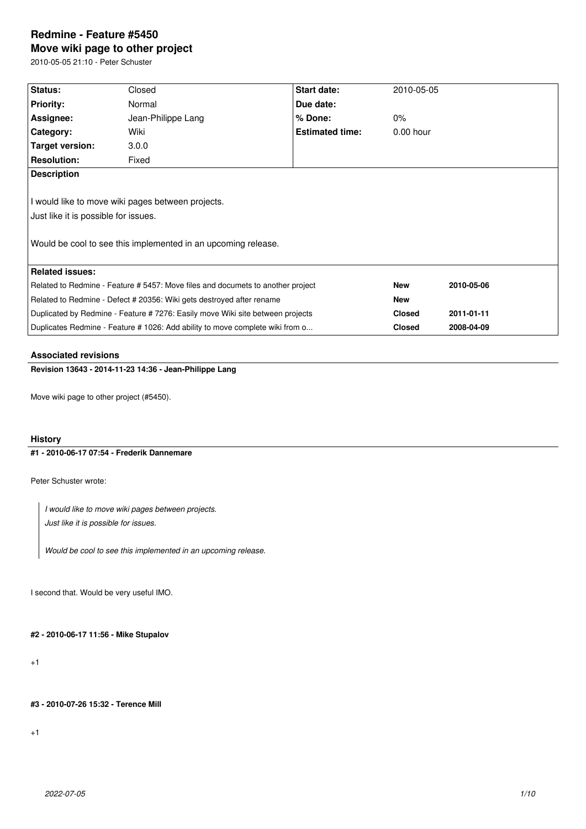# **Redmine - Feature #5450 Move wiki page to other project**

2010-05-05 21:10 - Peter Schuster

| Status:                                                                         | Closed             | Start date:            | 2010-05-05    |            |
|---------------------------------------------------------------------------------|--------------------|------------------------|---------------|------------|
| <b>Priority:</b>                                                                | Normal             | Due date:              |               |            |
| Assignee:                                                                       | Jean-Philippe Lang | $%$ Done:              | $0\%$         |            |
| Category:                                                                       | Wiki               | <b>Estimated time:</b> | $0.00$ hour   |            |
| Target version:                                                                 | 3.0.0              |                        |               |            |
| <b>Resolution:</b>                                                              | Fixed              |                        |               |            |
| <b>Description</b>                                                              |                    |                        |               |            |
|                                                                                 |                    |                        |               |            |
| I would like to move wiki pages between projects.                               |                    |                        |               |            |
| Just like it is possible for issues.                                            |                    |                        |               |            |
|                                                                                 |                    |                        |               |            |
| Would be cool to see this implemented in an upcoming release.                   |                    |                        |               |            |
|                                                                                 |                    |                        |               |            |
| <b>Related issues:</b>                                                          |                    |                        |               |            |
| Related to Redmine - Feature # 5457: Move files and documets to another project |                    |                        | <b>New</b>    | 2010-05-06 |
| Related to Redmine - Defect # 20356: Wiki gets destroyed after rename           |                    |                        | <b>New</b>    |            |
| Duplicated by Redmine - Feature #7276: Easily move Wiki site between projects   |                    |                        | <b>Closed</b> | 2011-01-11 |
| Duplicates Redmine - Feature # 1026: Add ability to move complete wiki from o   |                    |                        | <b>Closed</b> | 2008-04-09 |
|                                                                                 |                    |                        |               |            |

### **Associated revisions**

**Revision 13643 - 2014-11-23 14:36 - Jean-Philippe Lang**

Move wiki page to other project (#5450).

## **History**

### **#1 - 2010-06-17 07:54 - Frederik Dannemare**

Peter Schuster wrote:

*I would like to move wiki pages between projects.*

*Just like it is possible for issues.*

*Would be cool to see this implemented in an upcoming release.*

I second that. Would be very useful IMO.

**#2 - 2010-06-17 11:56 - Mike Stupalov**

+1

**#3 - 2010-07-26 15:32 - Terence Mill**

+1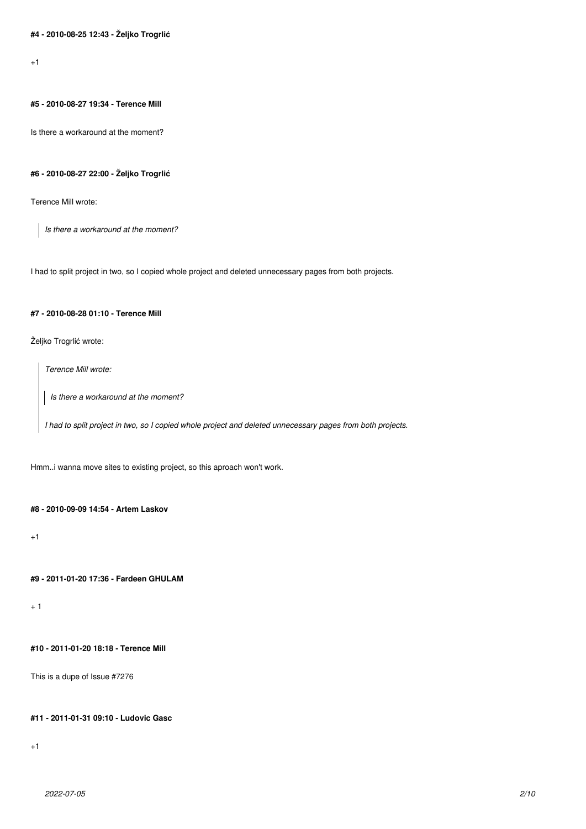$+1$ 

## **#5 - 2010-08-27 19:34 - Terence Mill**

Is there a workaround at the moment?

#### **#6 - 2010-08-27 22:00 - Željko Trogrlić**

Terence Mill wrote:

*Is there a workaround at the moment?*

I had to split project in two, so I copied whole project and deleted unnecessary pages from both projects.

### **#7 - 2010-08-28 01:10 - Terence Mill**

Željko Trogrlić wrote:

*Terence Mill wrote:*

*Is there a workaround at the moment?*

*I had to split project in two, so I copied whole project and deleted unnecessary pages from both projects.*

Hmm..i wanna move sites to existing project, so this aproach won't work.

#### **#8 - 2010-09-09 14:54 - Artem Laskov**

 $+1$ 

## **#9 - 2011-01-20 17:36 - Fardeen GHULAM**

+ 1

## **#10 - 2011-01-20 18:18 - Terence Mill**

This is a dupe of Issue #7276

## **#11 - 2011-01-31 09:10 - Ludovic Gasc**

+1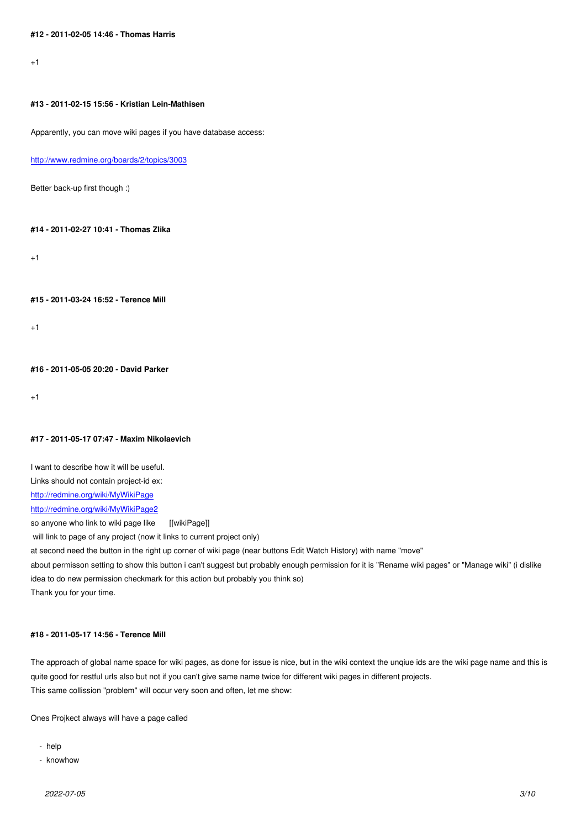## **#13 - 2011-02-15 15:56 - Kristian Lein-Mathisen**

Apparently, you can move wiki pages if you have database access:

http://www.redmine.org/boards/2/topics/3003

Better back-up first though :)

## **#14 - 2011-02-27 10:41 - Thomas Zlika**

 $+1$ 

**#15 - 2011-03-24 16:52 - Terence Mill**

 $+1$ 

**#16 - 2011-05-05 20:20 - David Parker**

+1

#### **#17 - 2011-05-17 07:47 - Maxim Nikolaevich**

I want to describe how it will be useful. Links should not contain project-id ex: http://redmine.org/wiki/MyWikiPage http://redmine.org/wiki/MyWikiPage2 so anyone who link to wiki page like [[wikiPage]]  [will link to page of any project \(now](http://redmine.org/wiki/MyWikiPage) it links to current project only) [at second need the button in the righ](http://redmine.org/wiki/MyWikiPage2)t up corner of wiki page (near buttons Edit Watch History) with name "move" about permisson setting to show this button i can't suggest but probably enough permission for it is "Rename wiki pages" or "Manage wiki" (i dislike idea to do new permission checkmark for this action but probably you think so) Thank you for your time.

### **#18 - 2011-05-17 14:56 - Terence Mill**

The approach of global name space for wiki pages, as done for issue is nice, but in the wiki context the unqiue ids are the wiki page name and this is quite good for restful urls also but not if you can't give same name twice for different wiki pages in different projects. This same collission "problem" will occur very soon and often, let me show:

Ones Projkect always will have a page called

- help
- knowhow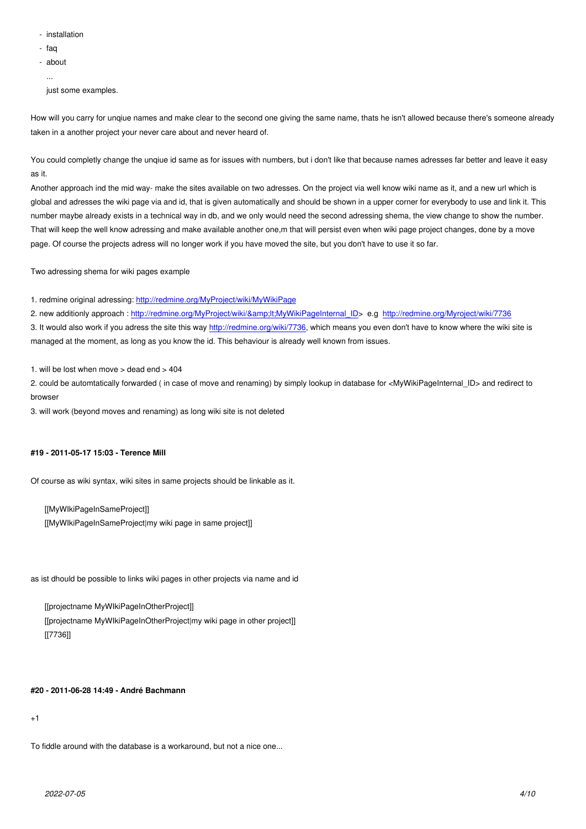- faq
- about
- ...

just some examples.

How will you carry for unqiue names and make clear to the second one giving the same name, thats he isn't allowed because there's someone already taken in a another project your never care about and never heard of.

You could completly change the unqiue id same as for issues with numbers, but i don't like that because names adresses far better and leave it easy as it.

Another approach ind the mid way- make the sites available on two adresses. On the project via well know wiki name as it, and a new url which is global and adresses the wiki page via and id, that is given automatically and should be shown in a upper corner for everybody to use and link it. This number maybe already exists in a technical way in db, and we only would need the second adressing shema, the view change to show the number. That will keep the well know adressing and make available another one,m that will persist even when wiki page project changes, done by a move page. Of course the projects adress will no longer work if you have moved the site, but you don't have to use it so far.

Two adressing shema for wiki pages example

1. redmine original adressing: http://redmine.org/MyProject/wiki/MyWikiPage

2. new additionly approach : http://redmine.org/MyProject/wiki/<MyWikiPageInternal\_ID> e.g http://redmine.org/Myroject/wiki/7736

3. It would also work if you adress the site this way http://redmine.org/wiki/7736, which means you even don't have to know where the wiki site is managed at the moment, as l[ong as you know the id. This behaviour is alrea](http://redmine.org/MyProject/wiki/MyWikiPage)dy well known from issues.

1. will be lost when move  $>$  dead end  $>$  404

2. could be automtatically forwarded ( in case of m[ove and renaming\) by simply](http://redmine.org/wiki/7736) lookup in database for <MyWikiPageInternal\_ID> and redirect to browser

3. will work (beyond moves and renaming) as long wiki site is not deleted

### **#19 - 2011-05-17 15:03 - Terence Mill**

Of course as wiki syntax, wiki sites in same projects should be linkable as it.

[[MyWIkiPageInSameProject]] [[MyWIkiPageInSameProject|my wiki page in same project]]

as ist dhould be possible to links wiki pages in other projects via name and id

[[projectname MyWIkiPageInOtherProject]] [[projectname MyWIkiPageInOtherProject|my wiki page in other project]] [[7736]]

### **#20 - 2011-06-28 14:49 - André Bachmann**

+1

To fiddle around with the database is a workaround, but not a nice one...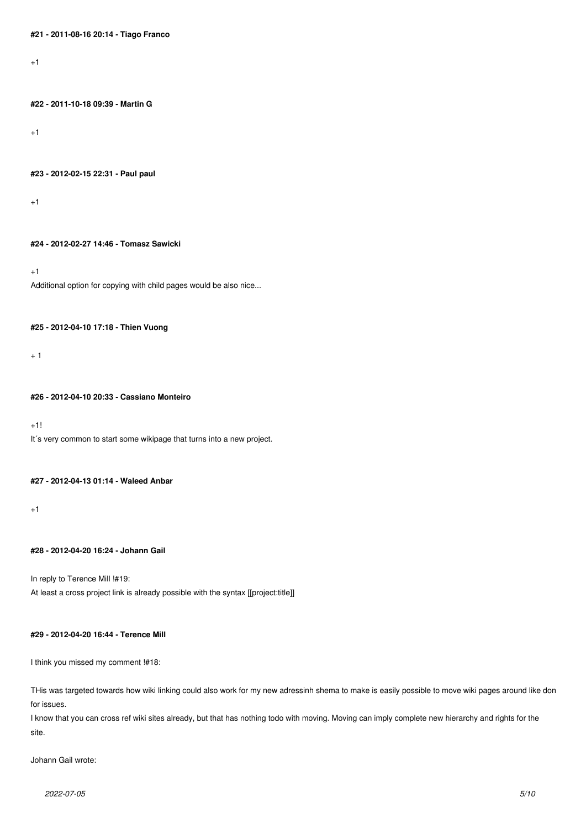$+1$ 

### **#22 - 2011-10-18 09:39 - Martin G**

+1

**#23 - 2012-02-15 22:31 - Paul paul**

+1

**#24 - 2012-02-27 14:46 - Tomasz Sawicki**

+1

Additional option for copying with child pages would be also nice...

### **#25 - 2012-04-10 17:18 - Thien Vuong**

+ 1

#### **#26 - 2012-04-10 20:33 - Cassiano Monteiro**

+1! It's very common to start some wikipage that turns into a new project.

### **#27 - 2012-04-13 01:14 - Waleed Anbar**

 $+1$ 

## **#28 - 2012-04-20 16:24 - Johann Gail**

In reply to Terence Mill !#19: At least a cross project link is already possible with the syntax [[project:title]]

## **#29 - 2012-04-20 16:44 - Terence Mill**

I think you missed my comment !#18:

THis was targeted towards how wiki linking could also work for my new adressinh shema to make is easily possible to move wiki pages around like don for issues.

I know that you can cross ref wiki sites already, but that has nothing todo with moving. Moving can imply complete new hierarchy and rights for the site.

Johann Gail wrote: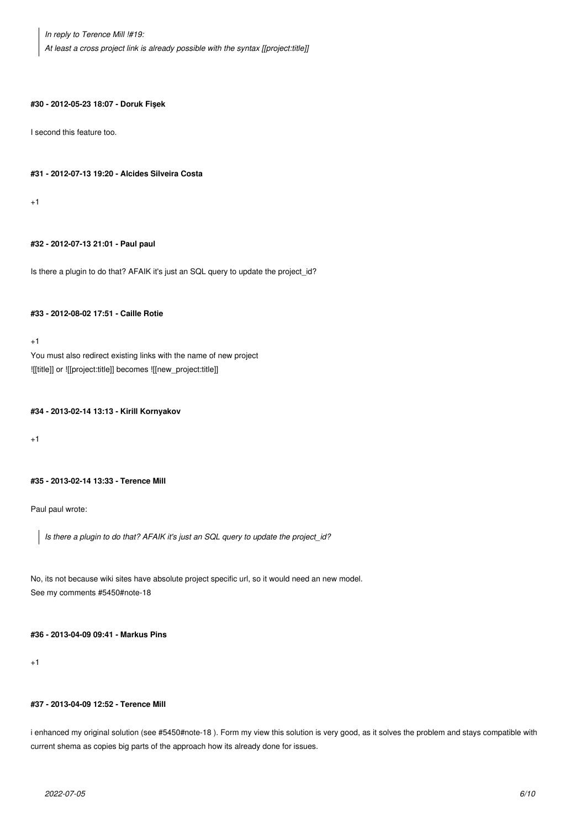*In reply to Terence Mill !#19: At least a cross project link is already possible with the syntax [[project:title]]*

#### **#30 - 2012-05-23 18:07 - Doruk Fişek**

I second this feature too.

#### **#31 - 2012-07-13 19:20 - Alcides Silveira Costa**

+1

### **#32 - 2012-07-13 21:01 - Paul paul**

Is there a plugin to do that? AFAIK it's just an SQL query to update the project\_id?

### **#33 - 2012-08-02 17:51 - Caille Rotie**

 $+1$ 

You must also redirect existing links with the name of new project ![[title]] or ![[project:title]] becomes ![[new\_project:title]]

#### **#34 - 2013-02-14 13:13 - Kirill Kornyakov**

+1

## **#35 - 2013-02-14 13:33 - Terence Mill**

Paul paul wrote:

*Is there a plugin to do that? AFAIK it's just an SQL query to update the project\_id?*

No, its not because wiki sites have absolute project specific url, so it would need an new model. See my comments #5450#note-18

### **#36 - 2013-04-09 09:41 - Markus Pins**

#### $+1$

### **#37 - 2013-04-09 12:52 - Terence Mill**

i enhanced my original solution (see #5450#note-18). Form my view this solution is very good, as it solves the problem and stays compatible with current shema as copies big parts of the approach how its already done for issues.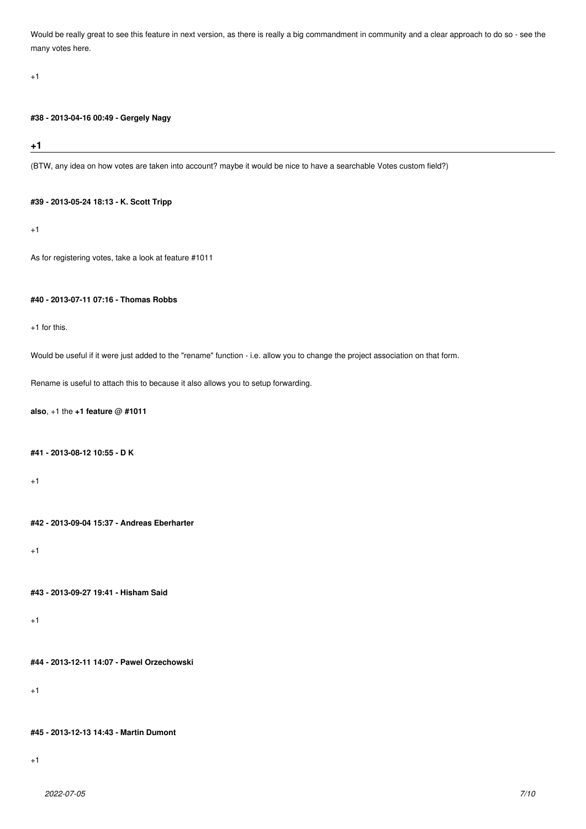Would be really great to see this feature in next version, as there is really a big commandment in community and a clear approach to do so - see the many votes here.

#### +1

### **#38 - 2013-04-16 00:49 - Gergely Nagy**

## **+1**

(BTW, any idea on how votes are taken into account? maybe it would be nice to have a searchable Votes custom field?)

#### **#39 - 2013-05-24 18:13 - K. Scott Tripp**

 $+1$ 

```
As for registering votes, take a look at feature #1011
```
## **#40 - 2013-07-11 07:16 - Thomas Robbs**

 $+1$  for this.

Would be useful if it were just added to the "rename" function - i.e. allow you to change the project association on that form.

Rename is useful to attach this to because it also allows you to setup forwarding.

### **also**, +1 the **+1 feature** @ **#1011**

#### **#41 - 2013-08-12 10:55 - D K**

 $+1$ 

**#42 - 2013-09-04 15:37 - Andreas Eberharter**

+1

**#43 - 2013-09-27 19:41 - Hisham Said**

 $+1$ 

**#44 - 2013-12-11 14:07 - Pawel Orzechowski**

+1

#### **#45 - 2013-12-13 14:43 - Martin Dumont**

+1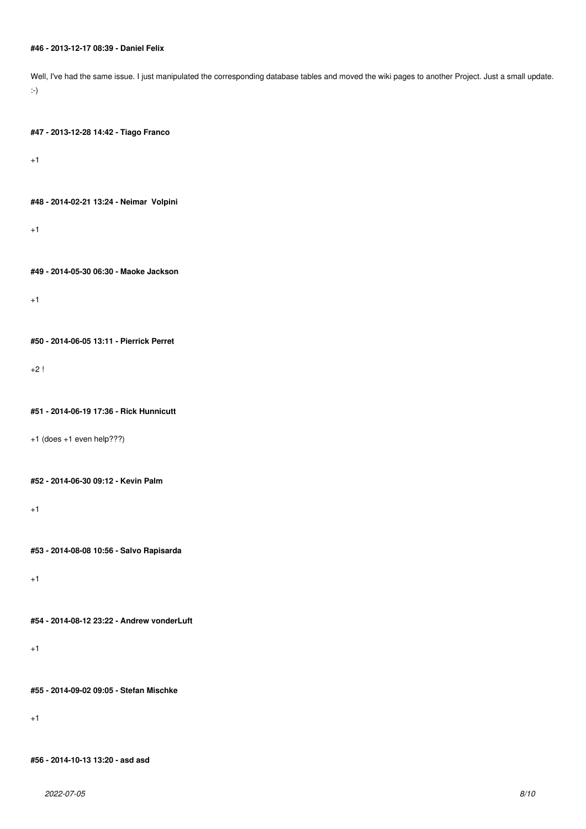### **#46 - 2013-12-17 08:39 - Daniel Felix**

Well, I've had the same issue. I just manipulated the corresponding database tables and moved the wiki pages to another Project. Just a small update. :-) **#47 - 2013-12-28 14:42 - Tiago Franco** +1 **#48 - 2014-02-21 13:24 - Neimar Volpini**  $+1$ **#49 - 2014-05-30 06:30 - Maoke Jackson** +1 **#50 - 2014-06-05 13:11 - Pierrick Perret** +2 ! **#51 - 2014-06-19 17:36 - Rick Hunnicutt** +1 (does +1 even help???) **#52 - 2014-06-30 09:12 - Kevin Palm**  $+1$ **#53 - 2014-08-08 10:56 - Salvo Rapisarda** +1 **#54 - 2014-08-12 23:22 - Andrew vonderLuft** +1 **#55 - 2014-09-02 09:05 - Stefan Mischke**  $+1$ 

**#56 - 2014-10-13 13:20 - asd asd**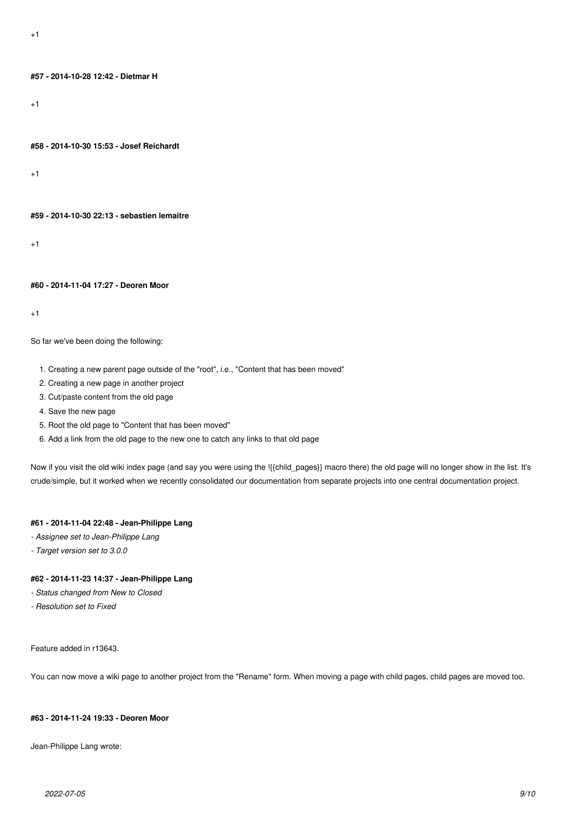## **#57 - 2014-10-28 12:42 - Dietmar H**

+1

#### **#58 - 2014-10-30 15:53 - Josef Reichardt**

+1

#### **#59 - 2014-10-30 22:13 - sebastien lemaitre**

+1

### **#60 - 2014-11-04 17:27 - Deoren Moor**

+1

### So far we've been doing the following:

- 1. Creating a new parent page outside of the "root", i.e., "Content that has been moved"
- 2. Creating a new page in another project
- 3. Cut/paste content from the old page
- 4. Save the new page
- 5. Root the old page to "Content that has been moved"
- 6. Add a link from the old page to the new one to catch any links to that old page

Now if you visit the old wiki index page (and say you were using the !{{child\_pages}} macro there) the old page will no longer show in the list. It's crude/simple, but it worked when we recently consolidated our documentation from separate projects into one central documentation project.

## **#61 - 2014-11-04 22:48 - Jean-Philippe Lang**

- *Assignee set to Jean-Philippe Lang*
- *Target version set to 3.0.0*

## **#62 - 2014-11-23 14:37 - Jean-Philippe Lang**

- *Status changed from New to Closed*
- *Resolution set to Fixed*

### Feature added in r13643.

You can now move a wiki page to another project from the "Rename" form. When moving a page with child pages, child pages are moved too.

### **#63 - 2014-11-24 19:33 - Deoren Moor**

Jean-Philippe Lang wrote: